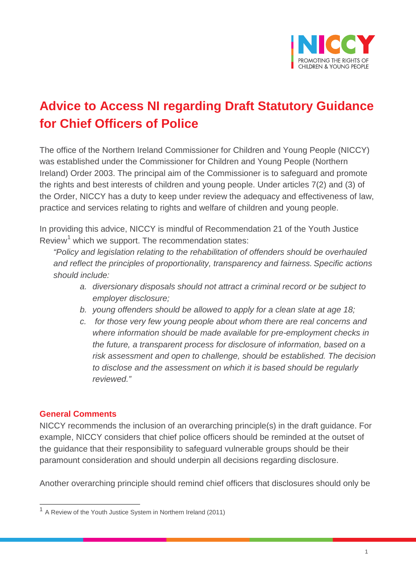

## **Advice to Access NI regarding Draft Statutory Guidance for Chief Officers of Police**

The office of the Northern Ireland Commissioner for Children and Young People (NICCY) was established under the Commissioner for Children and Young People (Northern Ireland) Order 2003. The principal aim of the Commissioner is to safeguard and promote the rights and best interests of children and young people. Under articles 7(2) and (3) of the Order, NICCY has a duty to keep under review the adequacy and effectiveness of law, practice and services relating to rights and welfare of children and young people.

In providing this advice, NICCY is mindful of Recommendation 21 of the Youth Justice Review<sup>[1](#page-0-0)</sup> which we support. The recommendation states:

*"Policy and legislation relating to the rehabilitation of offenders should be overhauled and reflect the principles of proportionality, transparency and fairness. Specific actions should include:*

- *a. diversionary disposals should not attract a criminal record or be subject to employer disclosure;*
- *b. young offenders should be allowed to apply for a clean slate at age 18;*
- *c. for those very few young people about whom there are real concerns and where information should be made available for pre-employment checks in the future, a transparent process for disclosure of information, based on a risk assessment and open to challenge, should be established. The decision to disclose and the assessment on which it is based should be regularly reviewed."*

## **General Comments**

NICCY recommends the inclusion of an overarching principle(s) in the draft guidance. For example, NICCY considers that chief police officers should be reminded at the outset of the guidance that their responsibility to safeguard vulnerable groups should be their paramount consideration and should underpin all decisions regarding disclosure.

Another overarching principle should remind chief officers that disclosures should only be

<span id="page-0-0"></span><sup>1</sup> A Review of the Youth Justice System in Northern Ireland (2011)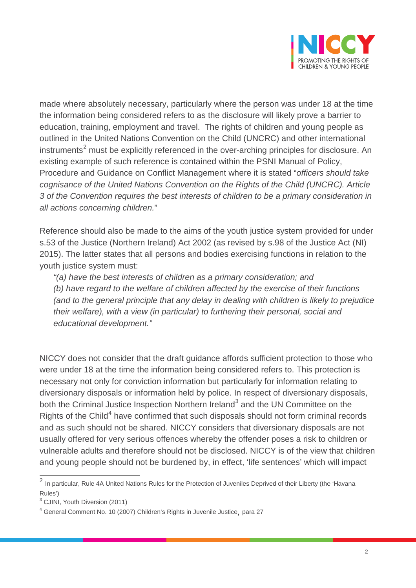

made where absolutely necessary, particularly where the person was under 18 at the time the information being considered refers to as the disclosure will likely prove a barrier to education, training, employment and travel. The rights of children and young people as outlined in the United Nations Convention on the Child (UNCRC) and other international  $in$ struments<sup>[2](#page-1-0)</sup> must be explicitly referenced in the over-arching principles for disclosure. An existing example of such reference is contained within the PSNI Manual of Policy, Procedure and Guidance on Conflict Management where it is stated "*officers should take cognisance of the United Nations Convention on the Rights of the Child (UNCRC). Article 3 of the Convention requires the best interests of children to be a primary consideration in all actions concerning children.*"

Reference should also be made to the aims of the youth justice system provided for under s.53 of the Justice (Northern Ireland) Act 2002 (as revised by s.98 of the Justice Act (NI) 2015). The latter states that all persons and bodies exercising functions in relation to the youth justice system must:

*"(a) have the best interests of children as a primary consideration; and (b) have regard to the welfare of children affected by the exercise of their functions (and to the general principle that any delay in dealing with children is likely to prejudice their welfare), with a view (in particular) to furthering their personal, social and educational development."*

NICCY does not consider that the draft guidance affords sufficient protection to those who were under 18 at the time the information being considered refers to. This protection is necessary not only for conviction information but particularly for information relating to diversionary disposals or information held by police. In respect of diversionary disposals, both the Criminal Justice Inspection Northern Ireland<sup>[3](#page-1-1)</sup> and the UN Committee on the Rights of the Child<sup>[4](#page-1-2)</sup> have confirmed that such disposals should not form criminal records and as such should not be shared. NICCY considers that diversionary disposals are not usually offered for very serious offences whereby the offender poses a risk to children or vulnerable adults and therefore should not be disclosed. NICCY is of the view that children and young people should not be burdened by, in effect, 'life sentences' which will impact

<span id="page-1-0"></span><sup>2</sup> In particular, Rule 4A United Nations Rules for the Protection of Juveniles Deprived of their Liberty (the 'Havana Rules')

<span id="page-1-1"></span><sup>3</sup> CJINI, Youth Diversion (2011)

<span id="page-1-2"></span><sup>4</sup> General Comment No. 10 (2007) Children's Rights in Juvenile Justice, para 27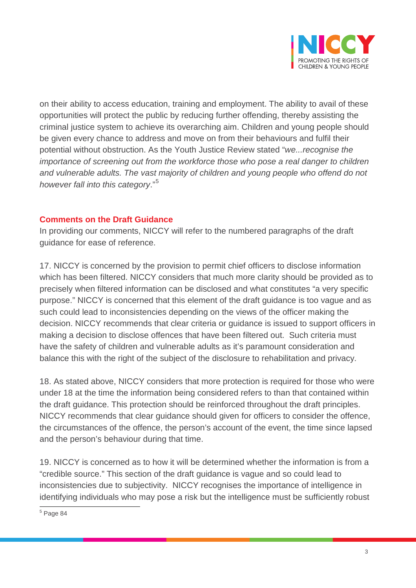

on their ability to access education, training and employment. The ability to avail of these opportunities will protect the public by reducing further offending, thereby assisting the criminal justice system to achieve its overarching aim. Children and young people should be given every chance to address and move on from their behaviours and fulfil their potential without obstruction. As the Youth Justice Review stated "*we...recognise the importance of screening out from the workforce those who pose a real danger to children and vulnerable adults. The vast majority of children and young people who offend do not however fall into this category*." [5](#page-2-0)

## **Comments on the Draft Guidance**

In providing our comments, NICCY will refer to the numbered paragraphs of the draft guidance for ease of reference.

17. NICCY is concerned by the provision to permit chief officers to disclose information which has been filtered. NICCY considers that much more clarity should be provided as to precisely when filtered information can be disclosed and what constitutes "a very specific purpose." NICCY is concerned that this element of the draft guidance is too vague and as such could lead to inconsistencies depending on the views of the officer making the decision. NICCY recommends that clear criteria or guidance is issued to support officers in making a decision to disclose offences that have been filtered out. Such criteria must have the safety of children and vulnerable adults as it's paramount consideration and balance this with the right of the subject of the disclosure to rehabilitation and privacy.

18. As stated above, NICCY considers that more protection is required for those who were under 18 at the time the information being considered refers to than that contained within the draft guidance. This protection should be reinforced throughout the draft principles. NICCY recommends that clear guidance should given for officers to consider the offence, the circumstances of the offence, the person's account of the event, the time since lapsed and the person's behaviour during that time.

19. NICCY is concerned as to how it will be determined whether the information is from a "credible source." This section of the draft guidance is vague and so could lead to inconsistencies due to subjectivity. NICCY recognises the importance of intelligence in identifying individuals who may pose a risk but the intelligence must be sufficiently robust

<span id="page-2-0"></span><sup>5</sup> Page 84